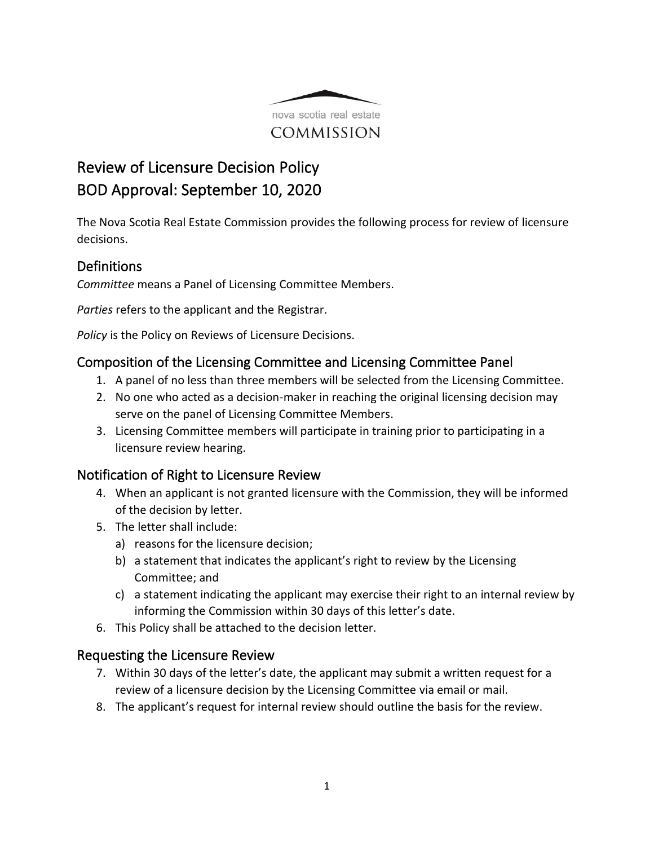

# Review of Licensure Decision Policy BOD Approval: September 10, 2020

The Nova Scotia Real Estate Commission provides the following process for review of licensure decisions.

## **Definitions**

*Committee* means a Panel of Licensing Committee Members.

*Parties* refers to the applicant and the Registrar.

*Policy* is the Policy on Reviews of Licensure Decisions.

# Composition of the Licensing Committee and Licensing Committee Panel

- 1. A panel of no less than three members will be selected from the Licensing Committee.
- 2. No one who acted as a decision-maker in reaching the original licensing decision may serve on the panel of Licensing Committee Members.
- 3. Licensing Committee members will participate in training prior to participating in a licensure review hearing.

# Notification of Right to Licensure Review

- 4. When an applicant is not granted licensure with the Commission, they will be informed of the decision by letter.
- 5. The letter shall include:
	- a) reasons for the licensure decision;
	- b) a statement that indicates the applicant's right to review by the Licensing Committee; and
	- c) a statement indicating the applicant may exercise their right to an internal review by informing the Commission within 30 days of this letter's date.
- 6. This Policy shall be attached to the decision letter.

## Requesting the Licensure Review

- 7. Within 30 days of the letter's date, the applicant may submit a written request for a review of a licensure decision by the Licensing Committee via email or mail.
- 8. The applicant's request for internal review should outline the basis for the review.